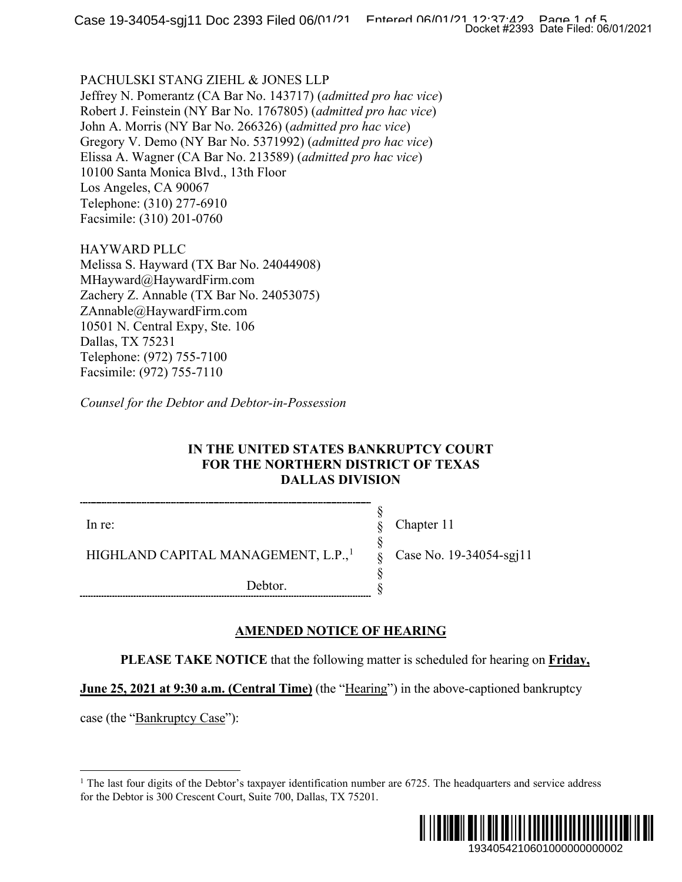### PACHULSKI STANG ZIEHL & JONES LLP

Jeffrey N. Pomerantz (CA Bar No. 143717) (*admitted pro hac vice*) Robert J. Feinstein (NY Bar No. 1767805) (*admitted pro hac vice*) John A. Morris (NY Bar No. 266326) (*admitted pro hac vice*) Gregory V. Demo (NY Bar No. 5371992) (*admitted pro hac vice*) Elissa A. Wagner (CA Bar No. 213589) (*admitted pro hac vice*) 10100 Santa Monica Blvd., 13th Floor Los Angeles, CA 90067 Telephone: (310) 277-6910 Facsimile: (310) 201-0760

HAYWARD PLLC Melissa S. Hayward (TX Bar No. 24044908) MHayward@HaywardFirm.com Zachery Z. Annable (TX Bar No. 24053075) ZAnnable@HaywardFirm.com 10501 N. Central Expy, Ste. 106 Dallas, TX 75231 Telephone: (972) 755-7100 Facsimile: (972) 755-7110

*Counsel for the Debtor and Debtor-in-Possession*

### **IN THE UNITED STATES BANKRUPTCY COURT FOR THE NORTHERN DISTRICT OF TEXAS DALLAS DIVISION**

§ § § § § §

In re:

Chapter 11

Case No. 19-34054-sgj11

HIGHLAND CAPITAL MANAGEMENT, L.P.,<sup>[1](#page-0-0)</sup>

Debtor.

## **AMENDED NOTICE OF HEARING**

**PLEASE TAKE NOTICE** that the following matter is scheduled for hearing on **Friday,** 

**June 25, 2021 at 9:30 a.m. (Central Time)** (the "Hearing") in the above-captioned bankruptcy

<span id="page-0-0"></span>case (the "Bankruptcy Case"):

<sup>&</sup>lt;sup>1</sup> The last four digits of the Debtor's taxpayer identification number are  $6725$ . The headquarters and service address for the Debtor is 300 Crescent Court, Suite 700, Dallas, TX 75201.

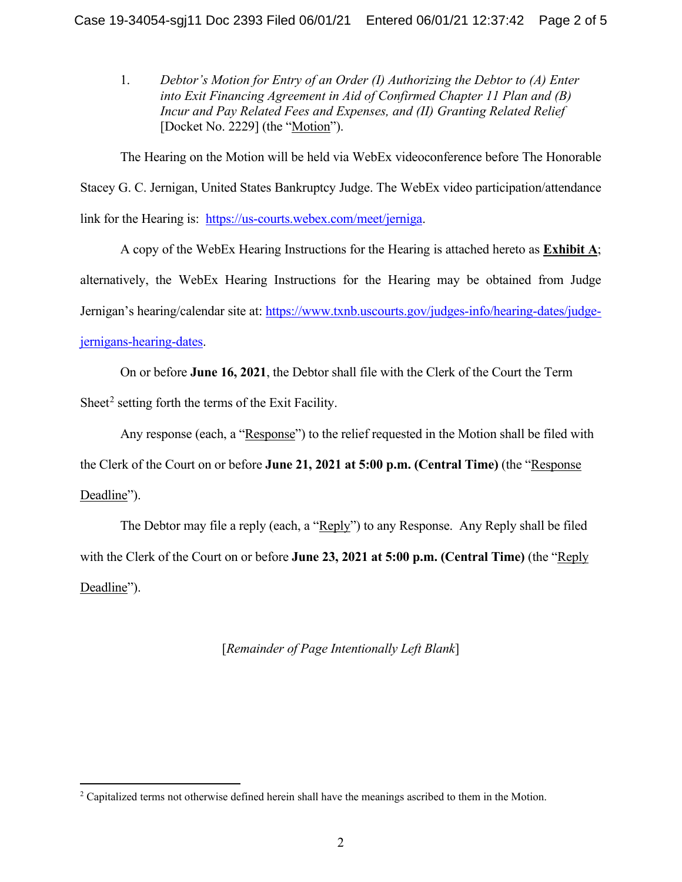1. *Debtor's Motion for Entry of an Order (I) Authorizing the Debtor to (A) Enter into Exit Financing Agreement in Aid of Confirmed Chapter 11 Plan and (B) Incur and Pay Related Fees and Expenses, and (II) Granting Related Relief* [Docket No. 2229] (the "Motion").

The Hearing on the Motion will be held via WebEx videoconference before The Honorable Stacey G. C. Jernigan, United States Bankruptcy Judge. The WebEx video participation/attendance link for the Hearing is: [https://us-courts.webex.com/meet/jerniga.](https://us-courts.webex.com/meet/jerniga)

A copy of the WebEx Hearing Instructions for the Hearing is attached hereto as **Exhibit A**; alternatively, the WebEx Hearing Instructions for the Hearing may be obtained from Judge Jernigan's hearing/calendar site at: [https://www.txnb.uscourts.gov/judges-info/hearing-dates/judge](https://www.txnb.uscourts.gov/judges-info/hearing-dates/judge-jernigans-hearing-dates)[jernigans-hearing-dates.](https://www.txnb.uscourts.gov/judges-info/hearing-dates/judge-jernigans-hearing-dates)

On or before **June 16, 2021**, the Debtor shall file with the Clerk of the Court the Term Sheet<sup>[2](#page-1-0)</sup> setting forth the terms of the Exit Facility.

Any response (each, a "Response") to the relief requested in the Motion shall be filed with the Clerk of the Court on or before **June 21, 2021 at 5:00 p.m. (Central Time)** (the "Response Deadline").

The Debtor may file a reply (each, a "Reply") to any Response. Any Reply shall be filed with the Clerk of the Court on or before **June 23, 2021 at 5:00 p.m. (Central Time)** (the "Reply Deadline").

[*Remainder of Page Intentionally Left Blank*]

<span id="page-1-0"></span> $2$  Capitalized terms not otherwise defined herein shall have the meanings ascribed to them in the Motion.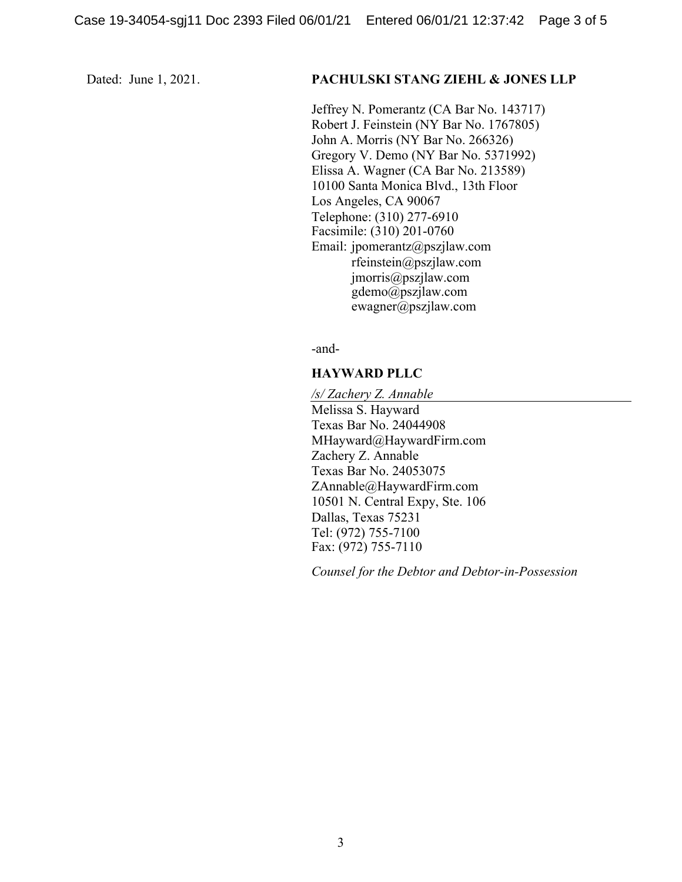### Dated: June 1, 2021. **PACHULSKI STANG ZIEHL & JONES LLP**

Jeffrey N. Pomerantz (CA Bar No. 143717) Robert J. Feinstein (NY Bar No. 1767805) John A. Morris (NY Bar No. 266326) Gregory V. Demo (NY Bar No. 5371992) Elissa A. Wagner (CA Bar No. 213589) 10100 Santa Monica Blvd., 13th Floor Los Angeles, CA 90067 Telephone: (310) 277-6910 Facsimile: (310) 201-0760 Email: jpomerantz@pszjlaw.com rfeinstein@pszjlaw.com jmorris@pszjlaw.com gdemo@pszjlaw.com ewagner@pszjlaw.com

-and-

### **HAYWARD PLLC**

*/s/ Zachery Z. Annable* Melissa S. Hayward Texas Bar No. 24044908 MHayward@HaywardFirm.com Zachery Z. Annable Texas Bar No. 24053075 ZAnnable@HaywardFirm.com 10501 N. Central Expy, Ste. 106 Dallas, Texas 75231 Tel: (972) 755-7100 Fax: (972) 755-7110

*Counsel for the Debtor and Debtor-in-Possession*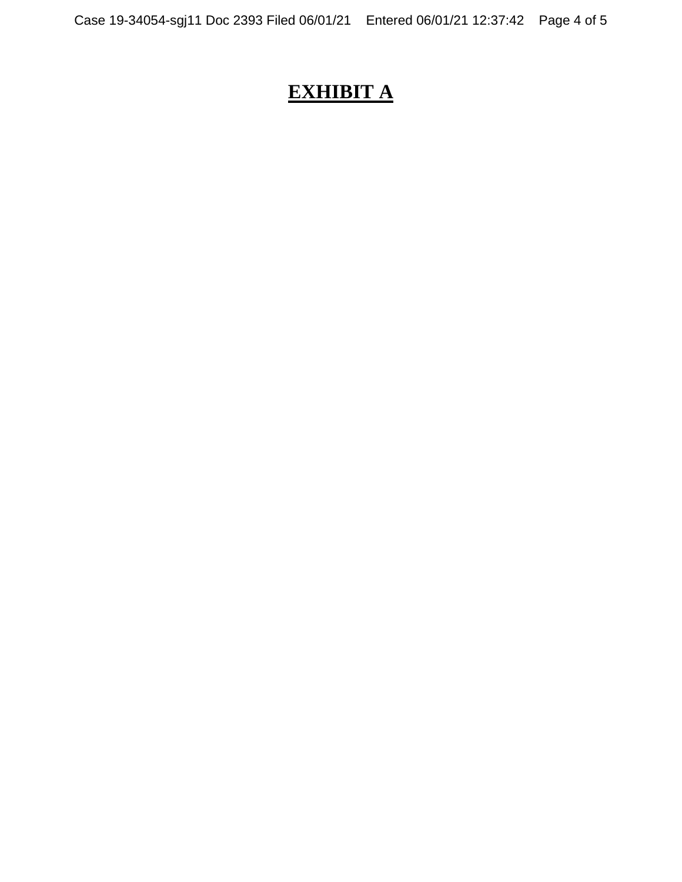# **EXHIBIT A**